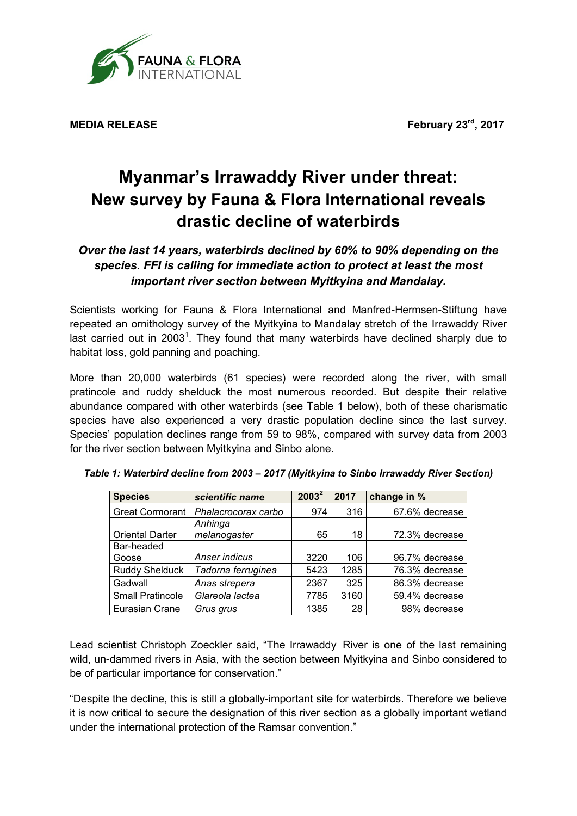

## **Myanmar's Irrawaddy River under threat: New survey by Fauna & Flora International reveals drastic decline of waterbirds**

## *Over the last 14 years, waterbirds declined by 60% to 90% depending on the species. FFI is calling for immediate action to protect at least the most important river section between Myitkyina and Mandalay.*

Scientists working for Fauna & Flora International and Manfred-Hermsen-Stiftung have repeated an ornithology survey of the Myitkyina to Mandalay stretch of the Irrawaddy River last carried out in 2003<sup>1</sup>. They found that many waterbirds have declined sharply due to habitat loss, gold panning and poaching.

More than 20,000 waterbirds (61 species) were recorded along the river, with small pratincole and ruddy shelduck the most numerous recorded. But despite their relative abundance compared with other waterbirds (see Table 1 below), both of these charismatic species have also experienced a very drastic population decline since the last survey. Species' population declines range from 59 to 98%, compared with survey data from 2003 for the river section between Myitkyina and Sinbo alone.

| <b>Species</b>          | scientific name     | $2003^2$ | 2017 | change in %    |
|-------------------------|---------------------|----------|------|----------------|
| <b>Great Cormorant</b>  | Phalacrocorax carbo | 974      | 316  | 67.6% decrease |
|                         | Anhinga             |          |      |                |
| <b>Oriental Darter</b>  | melanogaster        | 65       | 18   | 72.3% decrease |
| Bar-headed              |                     |          |      |                |
| Goose                   | Anser indicus       | 3220     | 106  | 96.7% decrease |
| <b>Ruddy Shelduck</b>   | Tadorna ferruginea  | 5423     | 1285 | 76.3% decrease |
| Gadwall                 | Anas strepera       | 2367     | 325  | 86.3% decrease |
| <b>Small Pratincole</b> | Glareola lactea     | 7785     | 3160 | 59.4% decrease |
| Eurasian Crane          | Grus grus           | 1385     | 28   | 98% decrease   |

Lead scientist Christoph Zoeckler said, "The Irrawaddy River is one of the last remaining wild, un-dammed rivers in Asia, with the section between Myitkyina and Sinbo considered to be of particular importance for conservation."

"Despite the decline, this is still a globally-important site for waterbirds. Therefore we believe it is now critical to secure the designation of this river section as a globally important wetland under the international protection of the Ramsar convention."